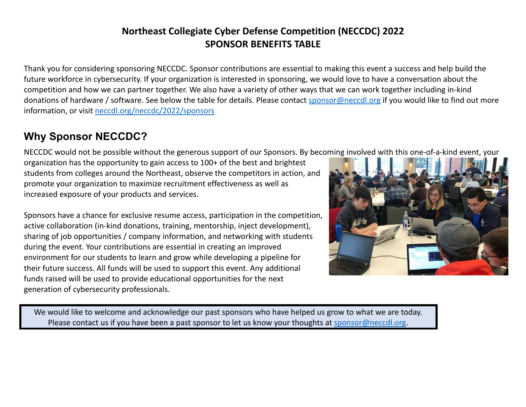## **Northeast Collegiate Cyber Defense Competition (NECCDC) 2022 SPONSOR BENEFITS TABLE**

Thank you for considering sponsoring NECCDC. Sponsor contributions are essential to making this event a success and help build the future workforce in cybersecurity. If your organization is interested in sponsoring, we would love to have a conversation about the competition and how we can partner together. We also have a variety of other ways that we can work together including in-kind donations of hardware / software. See below the table for details. Please contact [sponsor@neccdl.org](mailto:sponsor@neccdl.org) if you would like to find out more information, or visit [neccdl.org/neccdc/2022/sponsors](https://neccdl.org/neccdc/2020/sponsors/)

## **Why Sponsor NECCDC?**

NECCDC would not be possible without the generous support of our Sponsors. By becoming involved with this one-of-a-kind event, your

organization has the opportunity to gain access to 100+ of the best and brightest students from colleges around the Northeast, observe the competitors in action, and promote your organization to maximize recruitment effectiveness as well as increased exposure of your products and services.

Sponsors have a chance for exclusive resume access, participation in the competition, active collaboration (in-kind donations, training, mentorship, inject development), sharing of job opportunities / company information, and networking with students during the event. Your contributions are essential in creating an improved environment for our students to learn and grow while developing a pipeline for their future success. All funds will be used to support this event. Any additional funds raised will be used to provide educational opportunities for the next generation of cybersecurity professionals.



We would like to welcome and acknowledge our past sponsors who have helped us grow to what we are today. Please contact us if you have been a past sponsor to let us know your thoughts at [sponsor@neccdl.org](mailto:sponsor@neccdl.org).